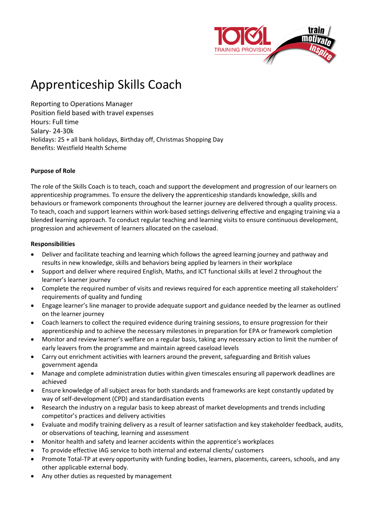

# Apprenticeship Skills Coach

Reporting to Operations Manager Position field based with travel expenses Hours: Full time Salary- 24-30k Holidays: 25 + all bank holidays, Birthday off, Christmas Shopping Day Benefits: Westfield Health Scheme

# **Purpose of Role**

The role of the Skills Coach is to teach, coach and support the development and progression of our learners on apprenticeship programmes. To ensure the delivery the apprenticeship standards knowledge, skills and behaviours or framework components throughout the learner journey are delivered through a quality process. To teach, coach and support learners within work-based settings delivering effective and engaging training via a blended learning approach. To conduct regular teaching and learning visits to ensure continuous development, progression and achievement of learners allocated on the caseload.

#### **Responsibilities**

- Deliver and facilitate teaching and learning which follows the agreed learning journey and pathway and results in new knowledge, skills and behaviors being applied by learners in their workplace
- Support and deliver where required English, Maths, and ICT functional skills at level 2 throughout the learner's learner journey
- Complete the required number of visits and reviews required for each apprentice meeting all stakeholders' requirements of quality and funding
- Engage learner's line manager to provide adequate support and guidance needed by the learner as outlined on the learner journey
- Coach learners to collect the required evidence during training sessions, to ensure progression for their apprenticeship and to achieve the necessary milestones in preparation for EPA or framework completion
- Monitor and review learner's welfare on a regular basis, taking any necessary action to limit the number of early leavers from the programme and maintain agreed caseload levels
- Carry out enrichment activities with learners around the prevent, safeguarding and British values government agenda
- Manage and complete administration duties within given timescales ensuring all paperwork deadlines are achieved
- Ensure knowledge of all subject areas for both standards and frameworks are kept constantly updated by way of self-development (CPD) and standardisation events
- Research the industry on a regular basis to keep abreast of market developments and trends including competitor's practices and delivery activities
- Evaluate and modify training delivery as a result of learner satisfaction and key stakeholder feedback, audits, or observations of teaching, learning and assessment
- Monitor health and safety and learner accidents within the apprentice's workplaces
- To provide effective IAG service to both internal and external clients/ customers
- Promote Total-TP at every opportunity with funding bodies, learners, placements, careers, schools, and any other applicable external body.
- Any other duties as requested by management